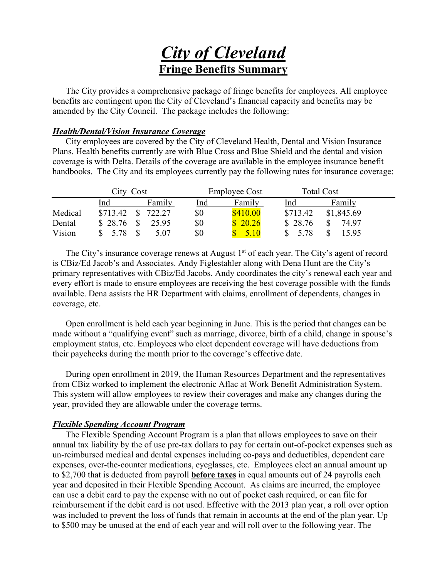# *City of Cleveland*  **Fringe Benefits Summary**

 The City provides a comprehensive package of fringe benefits for employees. All employee benefits are contingent upon the City of Cleveland's financial capacity and benefits may be amended by the City Council. The package includes the following:

## *Health/Dental/Vision Insurance Coverage*

 City employees are covered by the City of Cleveland Health, Dental and Vision Insurance Plans. Health benefits currently are with Blue Cross and Blue Shield and the dental and vision coverage is with Delta. Details of the coverage are available in the employee insurance benefit handbooks. The City and its employees currently pay the following rates for insurance coverage:

|         | City Cost |   |        |     | <b>Employee Cost</b> |          | <b>Total Cost</b> |  |
|---------|-----------|---|--------|-----|----------------------|----------|-------------------|--|
|         | lnd       |   | Family | lnd | Family               | Ind      | Family            |  |
| Medical | \$713.42  | ¢ | 722.27 | \$0 | \$410.00             | \$713.42 | \$1,845.69        |  |
| Dental  | \$28.76   |   | 25.95  | \$0 | 20.26                | \$28.76  | 74.97             |  |
| Vision  | 5.78      |   | 5.07   | \$0 | 5.10                 | 5.78     | 15.95             |  |

The City's insurance coverage renews at August  $1<sup>st</sup>$  of each year. The City's agent of record is CBiz/Ed Jacob's and Associates. Andy Figlestahler along with Dena Hunt are the City's primary representatives with CBiz/Ed Jacobs. Andy coordinates the city's renewal each year and every effort is made to ensure employees are receiving the best coverage possible with the funds available. Dena assists the HR Department with claims, enrollment of dependents, changes in coverage, etc.

 Open enrollment is held each year beginning in June. This is the period that changes can be made without a "qualifying event" such as marriage, divorce, birth of a child, change in spouse's employment status, etc. Employees who elect dependent coverage will have deductions from their paychecks during the month prior to the coverage's effective date.

 During open enrollment in 2019, the Human Resources Department and the representatives from CBiz worked to implement the electronic Aflac at Work Benefit Administration System. This system will allow employees to review their coverages and make any changes during the year, provided they are allowable under the coverage terms.

## *Flexible Spending Account Program*

The Flexible Spending Account Program is a plan that allows employees to save on their annual tax liability by the of use pre-tax dollars to pay for certain out-of-pocket expenses such as un-reimbursed medical and dental expenses including co-pays and deductibles, dependent care expenses, over-the-counter medications, eyeglasses, etc. Employees elect an annual amount up to \$2,700 that is deducted from payroll **before taxes** in equal amounts out of 24 payrolls each year and deposited in their Flexible Spending Account. As claims are incurred, the employee can use a debit card to pay the expense with no out of pocket cash required, or can file for reimbursement if the debit card is not used. Effective with the 2013 plan year, a roll over option was included to prevent the loss of funds that remain in accounts at the end of the plan year. Up to \$500 may be unused at the end of each year and will roll over to the following year. The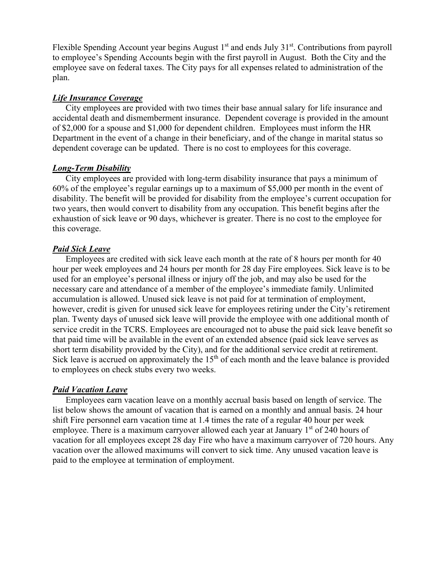Flexible Spending Account year begins August  $1<sup>st</sup>$  and ends July  $31<sup>st</sup>$ . Contributions from payroll to employee's Spending Accounts begin with the first payroll in August. Both the City and the employee save on federal taxes. The City pays for all expenses related to administration of the plan.

## *Life Insurance Coverage*

 City employees are provided with two times their base annual salary for life insurance and accidental death and dismemberment insurance. Dependent coverage is provided in the amount of \$2,000 for a spouse and \$1,000 for dependent children. Employees must inform the HR Department in the event of a change in their beneficiary, and of the change in marital status so dependent coverage can be updated. There is no cost to employees for this coverage.

#### *Long-Term Disability*

 City employees are provided with long-term disability insurance that pays a minimum of 60% of the employee's regular earnings up to a maximum of \$5,000 per month in the event of disability. The benefit will be provided for disability from the employee's current occupation for two years, then would convert to disability from any occupation. This benefit begins after the exhaustion of sick leave or 90 days, whichever is greater. There is no cost to the employee for this coverage.

## *Paid Sick Leave*

 Employees are credited with sick leave each month at the rate of 8 hours per month for 40 hour per week employees and 24 hours per month for 28 day Fire employees. Sick leave is to be used for an employee's personal illness or injury off the job, and may also be used for the necessary care and attendance of a member of the employee's immediate family. Unlimited accumulation is allowed. Unused sick leave is not paid for at termination of employment, however, credit is given for unused sick leave for employees retiring under the City's retirement plan. Twenty days of unused sick leave will provide the employee with one additional month of service credit in the TCRS. Employees are encouraged not to abuse the paid sick leave benefit so that paid time will be available in the event of an extended absence (paid sick leave serves as short term disability provided by the City), and for the additional service credit at retirement. Sick leave is accrued on approximately the  $15<sup>th</sup>$  of each month and the leave balance is provided to employees on check stubs every two weeks.

## *Paid Vacation Leave*

 Employees earn vacation leave on a monthly accrual basis based on length of service. The list below shows the amount of vacation that is earned on a monthly and annual basis. 24 hour shift Fire personnel earn vacation time at 1.4 times the rate of a regular 40 hour per week employee. There is a maximum carryover allowed each year at January  $1<sup>st</sup>$  of 240 hours of vacation for all employees except 28 day Fire who have a maximum carryover of 720 hours. Any vacation over the allowed maximums will convert to sick time. Any unused vacation leave is paid to the employee at termination of employment.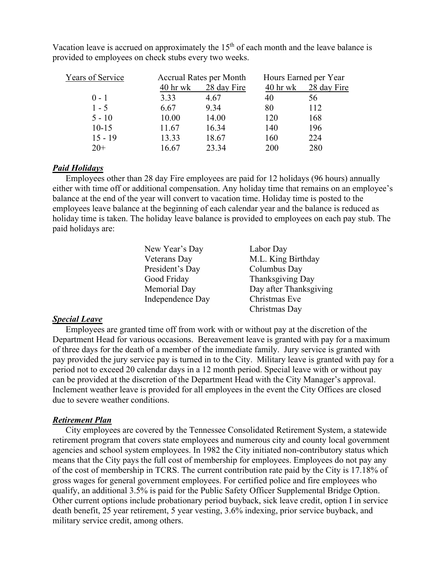| Years of Service |            | <b>Accrual Rates per Month</b> | Hours Earned per Year |             |
|------------------|------------|--------------------------------|-----------------------|-------------|
|                  | $40$ hr wk | 28 day Fire                    | $40$ hr wk            | 28 day Fire |
| $0 - 1$          | 3.33       | 4.67                           | 40                    | 56          |
| $1 - 5$          | 6.67       | 9.34                           | 80                    | 112         |
| $5 - 10$         | 10.00      | 14.00                          | 120                   | 168         |
| $10 - 15$        | 11.67      | 16.34                          | 140                   | 196         |
| $15 - 19$        | 13.33      | 18.67                          | 160                   | 224         |
| $20+$            | 16.67      | 23.34                          | 200                   | 280         |

Vacation leave is accrued on approximately the  $15<sup>th</sup>$  of each month and the leave balance is provided to employees on check stubs every two weeks.

## *Paid Holidays*

 Employees other than 28 day Fire employees are paid for 12 holidays (96 hours) annually either with time off or additional compensation. Any holiday time that remains on an employee's balance at the end of the year will convert to vacation time. Holiday time is posted to the employees leave balance at the beginning of each calendar year and the balance is reduced as holiday time is taken. The holiday leave balance is provided to employees on each pay stub. The paid holidays are:

| New Year's Day   | Labor Day              |
|------------------|------------------------|
| Veterans Day     | M.L. King Birthday     |
| President's Day  | Columbus Day           |
| Good Friday      | Thanksgiving Day       |
| Memorial Day     | Day after Thanksgiving |
| Independence Day | Christmas Eve          |
|                  | Christmas Day          |

#### *Special Leave*

 Employees are granted time off from work with or without pay at the discretion of the Department Head for various occasions. Bereavement leave is granted with pay for a maximum of three days for the death of a member of the immediate family. Jury service is granted with pay provided the jury service pay is turned in to the City. Military leave is granted with pay for a period not to exceed 20 calendar days in a 12 month period. Special leave with or without pay can be provided at the discretion of the Department Head with the City Manager's approval. Inclement weather leave is provided for all employees in the event the City Offices are closed due to severe weather conditions.

## *Retirement Plan*

 City employees are covered by the Tennessee Consolidated Retirement System, a statewide retirement program that covers state employees and numerous city and county local government agencies and school system employees. In 1982 the City initiated non-contributory status which means that the City pays the full cost of membership for employees. Employees do not pay any of the cost of membership in TCRS. The current contribution rate paid by the City is 17.18% of gross wages for general government employees. For certified police and fire employees who qualify, an additional 3.5% is paid for the Public Safety Officer Supplemental Bridge Option. Other current options include probationary period buyback, sick leave credit, option I in service death benefit, 25 year retirement, 5 year vesting, 3.6% indexing, prior service buyback, and military service credit, among others.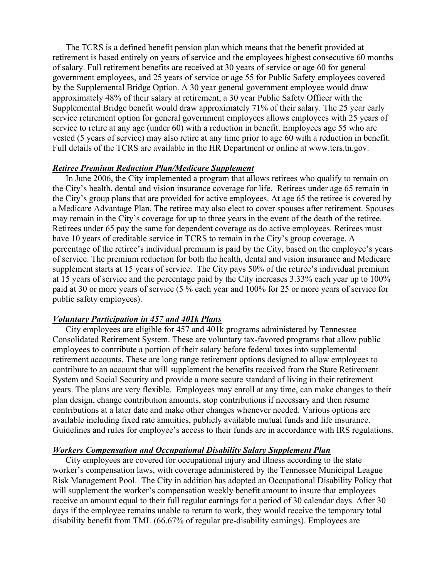The TCRS is a defined benefit pension plan which means that the benefit provided at retirement is based entirely on years of service and the employees highest consecutive 60 months of salary. Full retirement benefits are received at 30 years of service or age 60 for general government employees, and 25 years of service or age 55 for Public Safety employees covered by the Supplemental Bridge Option. A 30 year general government employee would draw approximately 48% of their salary at retirement, a 30 year Public Safety Officer with the Supplemental Bridge benefit would draw approximately 71% of their salary. The 25 year early service retirement option for general government employees allows employees with 25 years of service to retire at any age (under 60) with a reduction in benefit. Employees age 55 who are vested (5 years of service) may also retire at any time prior to age 60 with a reduction in benefit. Full details of the TCRS are available in the HR Department or online at www.tcrs.tn.gov.

#### *Retiree Premium Reduction Plan/Medicare Supplement*

 In June 2006, the City implemented a program that allows retirees who qualify to remain on the City's health, dental and vision insurance coverage for life. Retirees under age 65 remain in the City's group plans that are provided for active employees. At age 65 the retiree is covered by a Medicare Advantage Plan. The retiree may also elect to cover spouses after retirement. Spouses may remain in the City's coverage for up to three years in the event of the death of the retiree. Retirees under 65 pay the same for dependent coverage as do active employees. Retirees must have 10 years of creditable service in TCRS to remain in the City's group coverage. A percentage of the retiree's individual premium is paid by the City, based on the employee's years of service. The premium reduction for both the health, dental and vision insurance and Medicare supplement starts at 15 years of service. The City pays 50% of the retiree's individual premium at 15 years of service and the percentage paid by the City increases 3.33% each year up to 100% paid at 30 or more years of service (5 % each year and 100% for 25 or more years of service for public safety employees).

#### *Voluntary Participation in 457 and 401k Plans*

 City employees are eligible for 457 and 401k programs administered by Tennessee Consolidated Retirement System. These are voluntary tax-favored programs that allow public employees to contribute a portion of their salary before federal taxes into supplemental retirement accounts. These are long range retirement options designed to allow employees to contribute to an account that will supplement the benefits received from the State Retirement System and Social Security and provide a more secure standard of living in their retirement years. The plans are very flexible. Employees may enroll at any time, can make changes to their plan design, change contribution amounts, stop contributions if necessary and then resume contributions at a later date and make other changes whenever needed. Various options are available including fixed rate annuities, publicly available mutual funds and life insurance. Guidelines and rules for employee's access to their funds are in accordance with IRS regulations.

#### *Workers Compensation and Occupational Disability Salary Supplement Plan*

 City employees are covered for occupational injury and illness according to the state worker's compensation laws, with coverage administered by the Tennessee Municipal League Risk Management Pool. The City in addition has adopted an Occupational Disability Policy that will supplement the worker's compensation weekly benefit amount to insure that employees receive an amount equal to their full regular earnings for a period of 30 calendar days. After 30 days if the employee remains unable to return to work, they would receive the temporary total disability benefit from TML (66.67% of regular pre-disability earnings). Employees are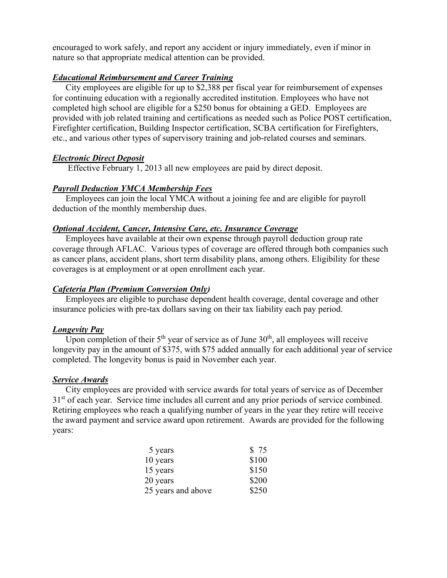encouraged to work safely, and report any accident or injury immediately, even if minor in nature so that appropriate medical attention can be provided.

## *Educational Reimbursement and Career Training*

 City employees are eligible for up to \$2,388 per fiscal year for reimbursement of expenses for continuing education with a regionally accredited institution. Employees who have not completed high school are eligible for a \$250 bonus for obtaining a GED. Employees are provided with job related training and certifications as needed such as Police POST certification, Firefighter certification, Building Inspector certification, SCBA certification for Firefighters, etc., and various other types of supervisory training and job-related courses and seminars.

## *Electronic Direct Deposit*

Effective February 1, 2013 all new employees are paid by direct deposit.

## *Payroll Deduction YMCA Membership Fees*

 Employees can join the local YMCA without a joining fee and are eligible for payroll deduction of the monthly membership dues.

## *Optional Accident, Cancer, Intensive Care, etc. Insurance Coverage*

 Employees have available at their own expense through payroll deduction group rate coverage through AFLAC. Various types of coverage are offered through both companies such as cancer plans, accident plans, short term disability plans, among others. Eligibility for these coverages is at employment or at open enrollment each year.

## *Cafeteria Plan (Premium Conversion Only)*

 Employees are eligible to purchase dependent health coverage, dental coverage and other insurance policies with pre-tax dollars saving on their tax liability each pay period.

## *Longevity Pay*

Upon completion of their  $5<sup>th</sup>$  year of service as of June  $30<sup>th</sup>$ , all employees will receive longevity pay in the amount of \$375, with \$75 added annually for each additional year of service completed. The longevity bonus is paid in November each year.

## *Service Awards*

City employees are provided with service awards for total years of service as of December 3<sup>1st</sup> of each year. Service time includes all current and any prior periods of service combined. Retiring employees who reach a qualifying number of years in the year they retire will receive the award payment and service award upon retirement. Awards are provided for the following years:

| 5 years            | \$75  |
|--------------------|-------|
| 10 years           | \$100 |
| 15 years           | \$150 |
| 20 years           | \$200 |
| 25 years and above | \$250 |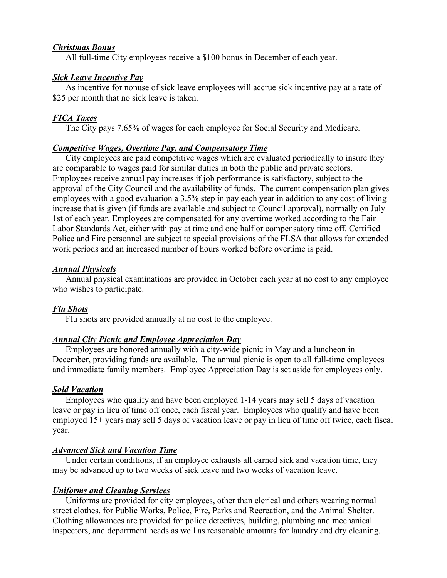#### *Christmas Bonus*

All full-time City employees receive a \$100 bonus in December of each year.

#### *Sick Leave Incentive Pay*

 As incentive for nonuse of sick leave employees will accrue sick incentive pay at a rate of \$25 per month that no sick leave is taken.

## *FICA Taxes*

The City pays 7.65% of wages for each employee for Social Security and Medicare.

#### *Competitive Wages, Overtime Pay, and Compensatory Time*

 City employees are paid competitive wages which are evaluated periodically to insure they are comparable to wages paid for similar duties in both the public and private sectors. Employees receive annual pay increases if job performance is satisfactory, subject to the approval of the City Council and the availability of funds. The current compensation plan gives employees with a good evaluation a 3.5% step in pay each year in addition to any cost of living increase that is given (if funds are available and subject to Council approval), normally on July 1st of each year. Employees are compensated for any overtime worked according to the Fair Labor Standards Act, either with pay at time and one half or compensatory time off. Certified Police and Fire personnel are subject to special provisions of the FLSA that allows for extended work periods and an increased number of hours worked before overtime is paid.

#### *Annual Physicals*

 Annual physical examinations are provided in October each year at no cost to any employee who wishes to participate.

## *Flu Shots*

Flu shots are provided annually at no cost to the employee.

## *Annual City Picnic and Employee Appreciation Day*

 Employees are honored annually with a city-wide picnic in May and a luncheon in December, providing funds are available. The annual picnic is open to all full-time employees and immediate family members. Employee Appreciation Day is set aside for employees only.

#### *Sold Vacation*

 Employees who qualify and have been employed 1-14 years may sell 5 days of vacation leave or pay in lieu of time off once, each fiscal year. Employees who qualify and have been employed 15+ years may sell 5 days of vacation leave or pay in lieu of time off twice, each fiscal year.

#### *Advanced Sick and Vacation Time*

 Under certain conditions, if an employee exhausts all earned sick and vacation time, they may be advanced up to two weeks of sick leave and two weeks of vacation leave.

## *Uniforms and Cleaning Services*

 Uniforms are provided for city employees, other than clerical and others wearing normal street clothes, for Public Works, Police, Fire, Parks and Recreation, and the Animal Shelter. Clothing allowances are provided for police detectives, building, plumbing and mechanical inspectors, and department heads as well as reasonable amounts for laundry and dry cleaning.